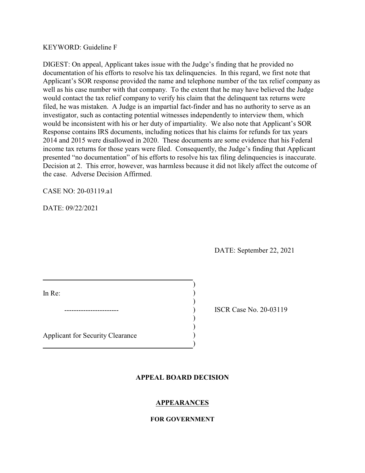KEYWORD: Guideline F

DIGEST: On appeal, Applicant takes issue with the Judge's finding that he provided no documentation of his efforts to resolve his tax delinquencies. In this regard, we first note that Applicant's SOR response provided the name and telephone number of the tax relief company as well as his case number with that company. To the extent that he may have believed the Judge would contact the tax relief company to verify his claim that the delinquent tax returns were filed, he was mistaken. A Judge is an impartial fact-finder and has no authority to serve as an investigator, such as contacting potential witnesses independently to interview them, which would be inconsistent with his or her duty of impartiality. We also note that Applicant's SOR Response contains IRS documents, including notices that his claims for refunds for tax years 2014 and 2015 were disallowed in 2020. These documents are some evidence that his Federal income tax returns for those years were filed. Consequently, the Judge's finding that Applicant presented "no documentation" of his efforts to resolve his tax filing delinquencies is inaccurate. Decision at 2. This error, however, was harmless because it did not likely affect the outcome of the case. Adverse Decision Affirmed.

CASE NO: 20-03119.a1

DATE: 09/22/2021

DATE: September 22, 2021

In Re: (a) and  $\overline{a}$  (b) and  $\overline{b}$  (c) and  $\overline{b}$  (c) and  $\overline{b}$  (c) and  $\overline{b}$  (c) and  $\overline{b}$  (c) and  $\overline{b}$  (c) and  $\overline{b}$  (c) and  $\overline{b}$  (c) and  $\overline{b}$  (c) and  $\overline{b}$  (c) and  $\overline{b}$  (c) and  $\over$ 

) ISCR Case No. 20-03119

Applicant for Security Clearance )

# **APPEAL BOARD DECISION**

)

)

) )

)

# **APPEARANCES**

## **FOR GOVERNMENT**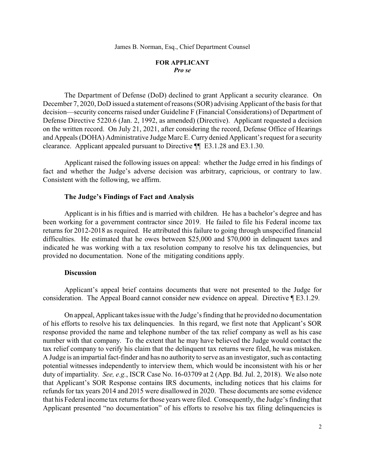## **FOR APPLICANT**  *Pro se*

 The Department of Defense (DoD) declined to grant Applicant a security clearance. On December 7, 2020, DoD issued a statement of reasons (SOR) advising Applicant of the basis for that and Appeals (DOHA) Administrative Judge Marc E. Curry denied Applicant's request for a security decision—security concerns raised under Guideline F (Financial Considerations) of Department of Defense Directive 5220.6 (Jan. 2, 1992, as amended) (Directive). Applicant requested a decision on the written record. On July 21, 2021, after considering the record, Defense Office of Hearings clearance. Applicant appealed pursuant to Directive ¶¶ E3.1.28 and E3.1.30.

 Applicant raised the following issues on appeal: whether the Judge erred in his findings of fact and whether the Judge's adverse decision was arbitrary, capricious, or contrary to law. Consistent with the following, we affirm.

## **The Judge's Findings of Fact and Analysis**

 Applicant is in his fifties and is married with children. He has a bachelor's degree and has been working for a government contractor since 2019. He failed to file his Federal income tax difficulties. He estimated that he owes between \$25,000 and \$70,000 in delinquent taxes and returns for 2012-2018 as required. He attributed this failure to going through unspecified financial indicated he was working with a tax resolution company to resolve his tax delinquencies, but provided no documentation. None of the mitigating conditions apply.

#### **Discussion**

 consideration. The Appeal Board cannot consider new evidence on appeal. Directive ¶ E3.1.29. Applicant's appeal brief contains documents that were not presented to the Judge for

 of his efforts to resolve his tax delinquencies. In this regard, we first note that Applicant's SOR response provided the name and telephone number of the tax relief company as well as his case number with that company. To the extent that he may have believed the Judge would contact the tax relief company to verify his claim that the delinquent tax returns were filed, he was mistaken. A Judge is an impartial fact-finder and has no authorityto serve as an investigator, such as contacting duty of impartiality. *See, e.g.*, ISCR Case No. 16-03709 at 2 (App. Bd. Jul. 2, 2018). We also note that his Federal income tax returns for those years were filed. Consequently, the Judge's finding that On appeal, Applicant takes issue with the Judge's finding that he provided no documentation potential witnesses independently to interview them, which would be inconsistent with his or her that Applicant's SOR Response contains IRS documents, including notices that his claims for refunds for tax years 2014 and 2015 were disallowed in 2020. These documents are some evidence Applicant presented "no documentation" of his efforts to resolve his tax filing delinquencies is